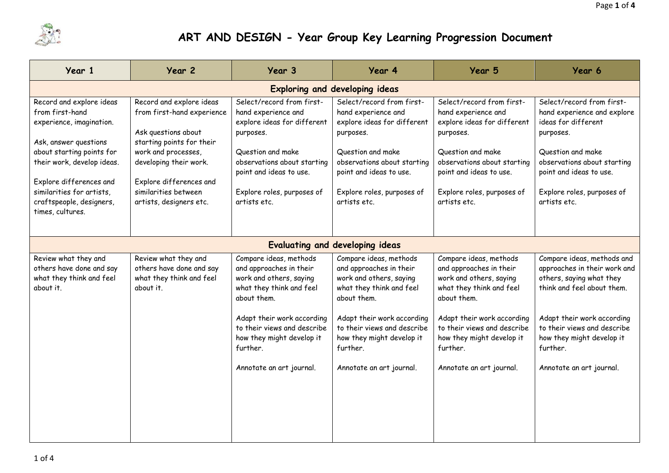

## **ART AND DESIGN - Year Group Key Learning Progression Document**

| Year 1                                                                                                                                                                                                                                                              | Year 2                                                                                                                                                                                                                                    | Year 3                                                                                                                                                                                                                                                    | Year 4                                                                                                                                                                                                                                                    | Year 5                                                                                                                                                                                                                                                    | Year 6                                                                                                                                                                                                                                                 |  |
|---------------------------------------------------------------------------------------------------------------------------------------------------------------------------------------------------------------------------------------------------------------------|-------------------------------------------------------------------------------------------------------------------------------------------------------------------------------------------------------------------------------------------|-----------------------------------------------------------------------------------------------------------------------------------------------------------------------------------------------------------------------------------------------------------|-----------------------------------------------------------------------------------------------------------------------------------------------------------------------------------------------------------------------------------------------------------|-----------------------------------------------------------------------------------------------------------------------------------------------------------------------------------------------------------------------------------------------------------|--------------------------------------------------------------------------------------------------------------------------------------------------------------------------------------------------------------------------------------------------------|--|
| <b>Exploring and developing ideas</b>                                                                                                                                                                                                                               |                                                                                                                                                                                                                                           |                                                                                                                                                                                                                                                           |                                                                                                                                                                                                                                                           |                                                                                                                                                                                                                                                           |                                                                                                                                                                                                                                                        |  |
| Record and explore ideas<br>from first-hand<br>experience, imagination.<br>Ask, answer questions<br>about starting points for<br>their work, develop ideas.<br>Explore differences and<br>similarities for artists,<br>craftspeople, designers,<br>times, cultures. | Record and explore ideas<br>from first-hand experience<br>Ask questions about<br>starting points for their<br>work and processes,<br>developing their work.<br>Explore differences and<br>similarities between<br>artists, designers etc. | Select/record from first-<br>hand experience and<br>explore ideas for different<br>purposes.<br>Question and make<br>observations about starting<br>point and ideas to use.<br>Explore roles, purposes of<br>artists etc.                                 | Select/record from first-<br>hand experience and<br>explore ideas for different<br>purposes.<br>Question and make<br>observations about starting<br>point and ideas to use.<br>Explore roles, purposes of<br>artists etc.                                 | Select/record from first-<br>hand experience and<br>explore ideas for different<br>purposes.<br>Question and make<br>observations about starting<br>point and ideas to use.<br>Explore roles, purposes of<br>artists etc.                                 | Select/record from first-<br>hand experience and explore<br>ideas for different<br>purposes.<br>Question and make<br>observations about starting<br>point and ideas to use.<br>Explore roles, purposes of<br>artists etc.                              |  |
| Evaluating and developing ideas                                                                                                                                                                                                                                     |                                                                                                                                                                                                                                           |                                                                                                                                                                                                                                                           |                                                                                                                                                                                                                                                           |                                                                                                                                                                                                                                                           |                                                                                                                                                                                                                                                        |  |
| Review what they and<br>others have done and say<br>what they think and feel<br>about it.                                                                                                                                                                           | Review what they and<br>others have done and say<br>what they think and feel<br>about it.                                                                                                                                                 | Compare ideas, methods<br>and approaches in their<br>work and others, saying<br>what they think and feel<br>about them.<br>Adapt their work according<br>to their views and describe<br>how they might develop it<br>further.<br>Annotate an art journal. | Compare ideas, methods<br>and approaches in their<br>work and others, saying<br>what they think and feel<br>about them.<br>Adapt their work according<br>to their views and describe<br>how they might develop it<br>further.<br>Annotate an art journal. | Compare ideas, methods<br>and approaches in their<br>work and others, saying<br>what they think and feel<br>about them.<br>Adapt their work according<br>to their views and describe<br>how they might develop it<br>further.<br>Annotate an art journal. | Compare ideas, methods and<br>approaches in their work and<br>others, saying what they<br>think and feel about them.<br>Adapt their work according<br>to their views and describe<br>how they might develop it<br>further.<br>Annotate an art journal. |  |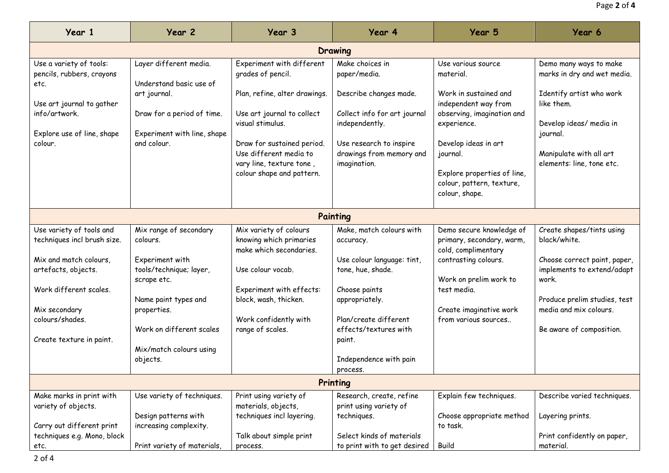| Year 1                                                                              | Year 2                                                                                   | Year 3                                                                                                                                                                                           | Year 4                                                                                                                                          | Year 5                                                                                                                                                        | Year 6                                                                                                                                |  |
|-------------------------------------------------------------------------------------|------------------------------------------------------------------------------------------|--------------------------------------------------------------------------------------------------------------------------------------------------------------------------------------------------|-------------------------------------------------------------------------------------------------------------------------------------------------|---------------------------------------------------------------------------------------------------------------------------------------------------------------|---------------------------------------------------------------------------------------------------------------------------------------|--|
| Drawing                                                                             |                                                                                          |                                                                                                                                                                                                  |                                                                                                                                                 |                                                                                                                                                               |                                                                                                                                       |  |
| Use a variety of tools:<br>pencils, rubbers, crayons<br>etc.                        | Layer different media.<br>Understand basic use of                                        | Experiment with different<br>grades of pencil.                                                                                                                                                   | Make choices in<br>paper/media.                                                                                                                 | Use various source<br>material.                                                                                                                               | Demo many ways to make<br>marks in dry and wet media.                                                                                 |  |
| Use art journal to gather<br>info/artwork.<br>Explore use of line, shape<br>colour. | art journal.<br>Draw for a period of time.<br>Experiment with line, shape<br>and colour. | Plan, refine, alter drawings.<br>Use art journal to collect<br>visual stimulus.<br>Draw for sustained period.<br>Use different media to<br>vary line, texture tone,<br>colour shape and pattern. | Describe changes made.<br>Collect info for art journal<br>independently.<br>Use research to inspire<br>drawings from memory and<br>imagination. | Work in sustained and<br>independent way from<br>observing, imagination and<br>experience.<br>Develop ideas in art<br>journal.<br>Explore properties of line, | Identify artist who work<br>like them.<br>Develop ideas/ media in<br>journal.<br>Manipulate with all art<br>elements: line, tone etc. |  |
|                                                                                     |                                                                                          |                                                                                                                                                                                                  |                                                                                                                                                 | colour, pattern, texture,<br>colour, shape.                                                                                                                   |                                                                                                                                       |  |
| Painting                                                                            |                                                                                          |                                                                                                                                                                                                  |                                                                                                                                                 |                                                                                                                                                               |                                                                                                                                       |  |
| Use variety of tools and<br>techniques incl brush size.                             | Mix range of secondary<br>colours.                                                       | Mix variety of colours<br>knowing which primaries<br>make which secondaries.                                                                                                                     | Make, match colours with<br>accuracy.                                                                                                           | Demo secure knowledge of<br>primary, secondary, warm,<br>cold, complimentary                                                                                  | Create shapes/tints using<br>black/white.                                                                                             |  |
| Mix and match colours,<br>artefacts, objects.                                       | Experiment with<br>tools/technique; layer,<br>scrape etc.                                | Use colour vocab.                                                                                                                                                                                | Use colour language: tint,<br>tone, hue, shade.                                                                                                 | contrasting colours.<br>Work on prelim work to                                                                                                                | Choose correct paint, paper,<br>implements to extend/adapt<br>work.                                                                   |  |
| Work different scales.<br>Mix secondary                                             | Name paint types and<br>properties.                                                      | Experiment with effects:<br>block, wash, thicken.                                                                                                                                                | Choose paints<br>appropriately.                                                                                                                 | test media.<br>Create imaginative work                                                                                                                        | Produce prelim studies, test<br>media and mix colours.                                                                                |  |
| colours/shades.<br>Create texture in paint.                                         | Work on different scales                                                                 | Work confidently with<br>range of scales.                                                                                                                                                        | Plan/create different<br>effects/textures with<br>paint.                                                                                        | from various sources                                                                                                                                          | Be aware of composition.                                                                                                              |  |
|                                                                                     | Mix/match colours using<br>objects.                                                      |                                                                                                                                                                                                  | Independence with pain<br>process.                                                                                                              |                                                                                                                                                               |                                                                                                                                       |  |
| Printing                                                                            |                                                                                          |                                                                                                                                                                                                  |                                                                                                                                                 |                                                                                                                                                               |                                                                                                                                       |  |
| Make marks in print with<br>variety of objects.<br>Carry out different print        | Use variety of techniques.<br>Design patterns with<br>increasing complexity.             | Print using variety of<br>materials, objects,<br>techniques incl layering.                                                                                                                       | Research, create, refine<br>print using variety of<br>techniques.                                                                               | Explain few techniques.<br>Choose appropriate method<br>to task.                                                                                              | Describe varied techniques.<br>Layering prints.                                                                                       |  |
| techniques e.g. Mono, block<br>etc.                                                 | Print variety of materials,                                                              | Talk about simple print<br>process.                                                                                                                                                              | Select kinds of materials<br>to print with to get desired                                                                                       | <b>Build</b>                                                                                                                                                  | Print confidently on paper,<br>material.                                                                                              |  |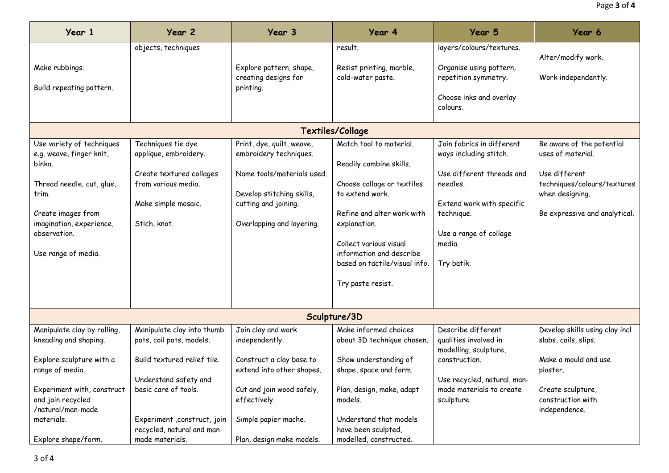| Year 1                                                                                                                                                                                         | Year 2                                                                                                                                | Year 3                                                                                                                                                              | Year 4                                                                                                                                                                                                                                                        | Year 5                                                                                                                                                                                    | Year 6                                                                                                                                             |  |
|------------------------------------------------------------------------------------------------------------------------------------------------------------------------------------------------|---------------------------------------------------------------------------------------------------------------------------------------|---------------------------------------------------------------------------------------------------------------------------------------------------------------------|---------------------------------------------------------------------------------------------------------------------------------------------------------------------------------------------------------------------------------------------------------------|-------------------------------------------------------------------------------------------------------------------------------------------------------------------------------------------|----------------------------------------------------------------------------------------------------------------------------------------------------|--|
| Make rubbings.<br>Build repeating pattern.                                                                                                                                                     | objects, techniques                                                                                                                   | Explore pattern, shape,<br>creating designs for<br>printing.                                                                                                        | result.<br>Resist printing, marble,<br>cold-water paste.                                                                                                                                                                                                      | layers/colours/textures.<br>Organise using pattern,<br>repetition symmetry.<br>Choose inks and overlay<br>colours.                                                                        | Alter/modify work.<br>Work independently.                                                                                                          |  |
|                                                                                                                                                                                                |                                                                                                                                       |                                                                                                                                                                     | Textiles/Collage                                                                                                                                                                                                                                              |                                                                                                                                                                                           |                                                                                                                                                    |  |
| Use variety of techniques<br>e.g. weave, finger knit,<br>binka.<br>Thread needle, cut, glue,<br>trim.<br>Create images from<br>imagination, experience,<br>observation.<br>Use range of media. | Techniques tie dye<br>applique, embroidery.<br>Create textured collages<br>from various media.<br>Make simple mosaic.<br>Stich, knot. | Print, dye, quilt, weave,<br>embroidery techniques.<br>Name tools/materials used.<br>Develop stitching skills,<br>cutting and joining.<br>Overlapping and layering. | Match tool to material.<br>Readily combine skills.<br>Choose collage or textiles<br>to extend work.<br>Refine and alter work with<br>explanation.<br>Collect various visual<br>information and describe<br>based on tactile/visual info.<br>Try paste resist. | Join fabrics in different<br>ways including stitch.<br>Use different threads and<br>needles.<br>Extend work with specific<br>technique.<br>Use a range of collage<br>media.<br>Try batik. | Be aware of the potential<br>uses of material.<br>Use different<br>techniques/colours/textures<br>when designing.<br>Be expressive and analytical. |  |
| Sculpture/3D                                                                                                                                                                                   |                                                                                                                                       |                                                                                                                                                                     |                                                                                                                                                                                                                                                               |                                                                                                                                                                                           |                                                                                                                                                    |  |
| Manipulate clay by rolling,<br>kneading and shaping.<br>Explore sculpture with a<br>range of media.                                                                                            | Manipulate clay into thumb<br>pots, coil pots, models.<br>Build textured relief tile.                                                 | Join clay and work<br>independently.<br>Construct a clay base to<br>extend into other shapes.                                                                       | Make informed choices<br>about 3D technique chosen.<br>Show understanding of<br>shape, space and form.                                                                                                                                                        | Describe different<br>qualities involved in<br>modelling, sculpture,<br>construction.                                                                                                     | Develop skills using clay incl<br>slabs, coils, slips.<br>Make a mould and use<br>plaster.                                                         |  |
| Experiment with, construct<br>and join recycled<br>/natural/man-made<br>materials.<br>Explore shape/form.                                                                                      | Understand safety and<br>basic care of tools.<br>Experiment , construct, join<br>recycled, natural and man-<br>made materials.        | Cut and join wood safely,<br>effectively.<br>Simple papier mache.<br>Plan, design make models.                                                                      | Plan, design, make, adapt<br>models.<br>Understand that models<br>have been sculpted,<br>modelled, constructed.                                                                                                                                               | Use recycled, natural, man-<br>made materials to create<br>sculpture.                                                                                                                     | Create sculpture,<br>construction with<br>independence.                                                                                            |  |